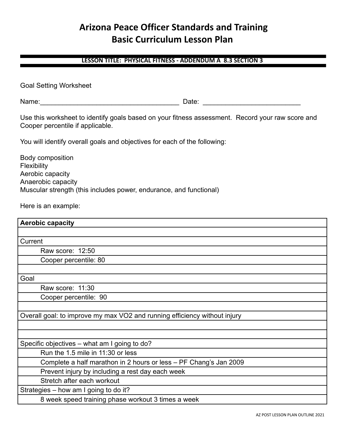# **Arizona Peace Officer Standards and Training Basic Curriculum Lesson Plan**

#### **LESSON TITLE: PHYSICAL FITNESS - ADDENDUM A 8.3 SECTION 3**

| <b>Goal Setting Worksheet</b> |  |  |  |
|-------------------------------|--|--|--|
|-------------------------------|--|--|--|

Name:\_\_\_\_\_\_\_\_\_\_\_\_\_\_\_\_\_\_\_\_\_\_\_\_\_\_\_\_\_\_\_\_\_\_\_\_\_ Date: \_\_\_\_\_\_\_\_\_\_\_\_\_\_\_\_\_\_\_\_\_\_\_\_\_\_

Use this worksheet to identify goals based on your fitness assessment. Record your raw score and Cooper percentile if applicable.

You will identify overall goals and objectives for each of the following:

Body composition Flexibility Aerobic capacity Anaerobic capacity Muscular strength (this includes power, endurance, and functional)

Here is an example:

| <b>Aerobic capacity</b>                                                   |  |  |
|---------------------------------------------------------------------------|--|--|
|                                                                           |  |  |
| Current                                                                   |  |  |
| Raw score: 12:50                                                          |  |  |
| Cooper percentile: 80                                                     |  |  |
|                                                                           |  |  |
| Goal                                                                      |  |  |
| Raw score: 11:30                                                          |  |  |
| Cooper percentile: 90                                                     |  |  |
|                                                                           |  |  |
| Overall goal: to improve my max VO2 and running efficiency without injury |  |  |
|                                                                           |  |  |
|                                                                           |  |  |
| Specific objectives – what am I going to do?                              |  |  |
| Run the 1.5 mile in 11:30 or less                                         |  |  |
| Complete a half marathon in 2 hours or less - PF Chang's Jan 2009         |  |  |
| Prevent injury by including a rest day each week                          |  |  |
| Stretch after each workout                                                |  |  |
| Strategies – how am I going to do it?                                     |  |  |
| 8 week speed training phase workout 3 times a week                        |  |  |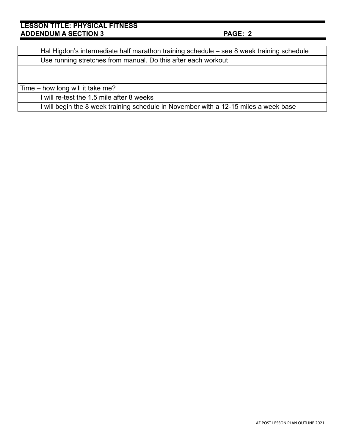| Hal Higdon's intermediate half marathon training schedule – see 8 week training schedule |  |
|------------------------------------------------------------------------------------------|--|
| Use running stretches from manual. Do this after each workout                            |  |
|                                                                                          |  |
|                                                                                          |  |
| Time – how long will it take me?                                                         |  |
| I will re-test the 1.5 mile after 8 weeks                                                |  |
| I will begin the 8 week training schedule in November with a 12-15 miles a week base     |  |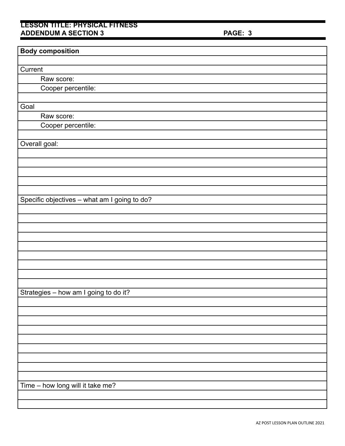| <b>Body composition</b>                      |
|----------------------------------------------|
|                                              |
| Current                                      |
| Raw score:                                   |
| Cooper percentile:                           |
|                                              |
| Goal                                         |
| Raw score:                                   |
| Cooper percentile:                           |
|                                              |
| Overall goal:                                |
|                                              |
|                                              |
|                                              |
|                                              |
|                                              |
| Specific objectives - what am I going to do? |
|                                              |
|                                              |
|                                              |
|                                              |
|                                              |
|                                              |
|                                              |
|                                              |
|                                              |
| Strategies - how am I going to do it?        |
|                                              |
|                                              |
|                                              |
|                                              |
|                                              |
|                                              |
|                                              |
|                                              |
|                                              |
| Time - how long will it take me?             |
|                                              |
|                                              |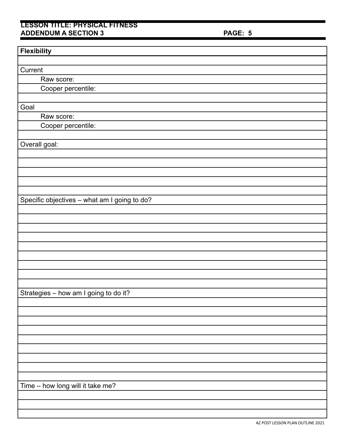| <b>Flexibility</b>                           |
|----------------------------------------------|
|                                              |
| Current                                      |
| Raw score:                                   |
| Cooper percentile:                           |
|                                              |
| Goal                                         |
| Raw score:                                   |
| Cooper percentile:                           |
|                                              |
| Overall goal:                                |
|                                              |
|                                              |
|                                              |
|                                              |
|                                              |
| Specific objectives - what am I going to do? |
|                                              |
|                                              |
|                                              |
|                                              |
|                                              |
|                                              |
|                                              |
|                                              |
|                                              |
| Strategies - how am I going to do it?        |
|                                              |
|                                              |
|                                              |
|                                              |
|                                              |
|                                              |
|                                              |
|                                              |
|                                              |
| Time - how long will it take me?             |
|                                              |
|                                              |
|                                              |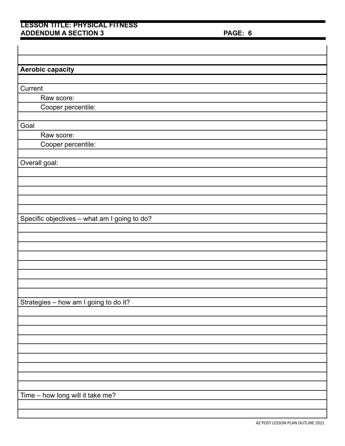| <b>Aerobic capacity</b>                      |
|----------------------------------------------|
|                                              |
| Current                                      |
| Raw score:                                   |
| Cooper percentile:                           |
|                                              |
| Goal                                         |
| Raw score:                                   |
| Cooper percentile:                           |
|                                              |
| Overall goal:                                |
|                                              |
|                                              |
|                                              |
|                                              |
|                                              |
| Specific objectives - what am I going to do? |
|                                              |
|                                              |
|                                              |
|                                              |
|                                              |
|                                              |
|                                              |
|                                              |
| Strategies - how am I going to do it?        |
|                                              |
|                                              |
|                                              |
|                                              |
|                                              |
|                                              |
|                                              |
|                                              |
|                                              |
| Time - how long will it take me?             |
|                                              |
|                                              |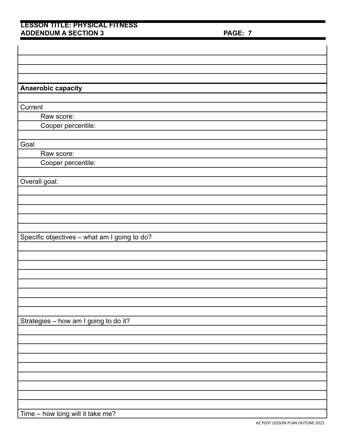| Anaerobic capacity                           |
|----------------------------------------------|
|                                              |
| Current                                      |
| Raw score:                                   |
| Cooper percentile:                           |
|                                              |
| Goal                                         |
| Raw score:                                   |
| Cooper percentile:                           |
|                                              |
| Overall goal:                                |
|                                              |
|                                              |
|                                              |
|                                              |
|                                              |
| Specific objectives - what am I going to do? |
|                                              |
|                                              |
|                                              |
|                                              |
|                                              |
|                                              |
|                                              |
|                                              |
| Strategies - how am I going to do it?        |
|                                              |
|                                              |
|                                              |
|                                              |
|                                              |
|                                              |
|                                              |
|                                              |
|                                              |
| Time - how long will it take me?             |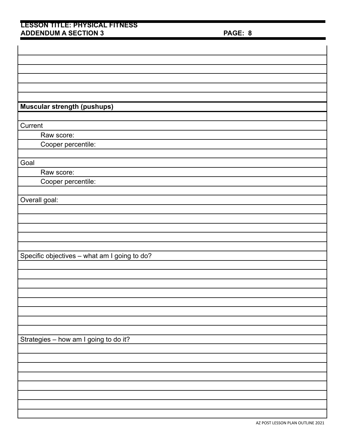| <b>Muscular strength (pushups)</b>           |
|----------------------------------------------|
|                                              |
|                                              |
| Current                                      |
| Raw score:                                   |
| Cooper percentile:                           |
|                                              |
| Goal                                         |
| Raw score:                                   |
| Cooper percentile:                           |
|                                              |
| Overall goal:                                |
|                                              |
|                                              |
|                                              |
|                                              |
|                                              |
| Specific objectives - what am I going to do? |
|                                              |
|                                              |
|                                              |
|                                              |
|                                              |
|                                              |
|                                              |
|                                              |
| Strategies - how am I going to do it?        |
|                                              |
|                                              |
|                                              |
|                                              |
|                                              |
|                                              |
|                                              |
|                                              |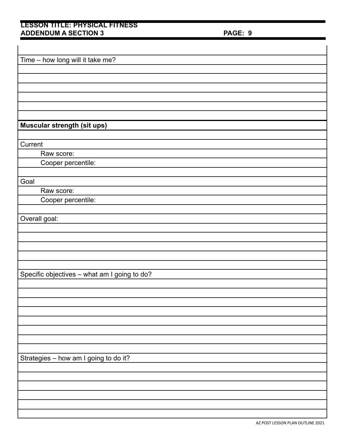| Time - how long will it take me?             |
|----------------------------------------------|
|                                              |
|                                              |
|                                              |
|                                              |
|                                              |
|                                              |
| Muscular strength (sit ups)                  |
|                                              |
| Current                                      |
| Raw score:                                   |
| Cooper percentile:                           |
|                                              |
| Goal                                         |
| Raw score:                                   |
| Cooper percentile:                           |
|                                              |
| Overall goal:                                |
|                                              |
|                                              |
|                                              |
|                                              |
|                                              |
| Specific objectives - what am I going to do? |
|                                              |
|                                              |
|                                              |
|                                              |
|                                              |
|                                              |
|                                              |
|                                              |
| Strategies - how am I going to do it?        |
|                                              |
|                                              |
|                                              |
|                                              |
|                                              |
|                                              |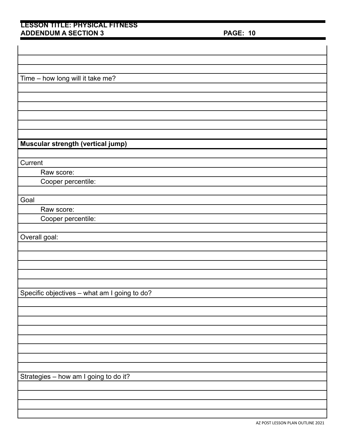| Time - how long will it take me?             |
|----------------------------------------------|
|                                              |
|                                              |
|                                              |
|                                              |
|                                              |
|                                              |
| Muscular strength (vertical jump)            |
|                                              |
| Current                                      |
| Raw score:                                   |
| Cooper percentile:                           |
|                                              |
| Goal                                         |
| Raw score:                                   |
| Cooper percentile:                           |
|                                              |
| Overall goal:                                |
|                                              |
|                                              |
|                                              |
|                                              |
|                                              |
| Specific objectives - what am I going to do? |
|                                              |
|                                              |
|                                              |
|                                              |
|                                              |
|                                              |
|                                              |
|                                              |
| Strategies - how am I going to do it?        |
|                                              |
|                                              |
|                                              |
|                                              |